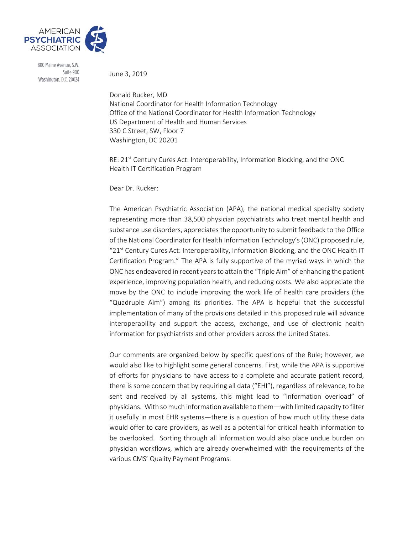

800 Maine Avenue, S.W. Suite 900 Washington, D.C. 20024

June 3, 2019

Donald Rucker, MD National Coordinator for Health Information Technology Office of the National Coordinator for Health Information Technology US Department of Health and Human Services 330 C Street, SW, Floor 7 Washington, DC 20201

RE: 21<sup>st</sup> Century Cures Act: Interoperability, Information Blocking, and the ONC Health IT Certification Program

Dear Dr. Rucker:

The American Psychiatric Association (APA), the national medical specialty society representing more than 38,500 physician psychiatrists who treat mental health and substance use disorders, appreciates the opportunity to submit feedback to the Office of the National Coordinator for Health Information Technology's (ONC) proposed rule, " $21<sup>st</sup>$  Century Cures Act: Interoperability, Information Blocking, and the ONC Health IT Certification Program." The APA is fully supportive of the myriad ways in which the ONC has endeavored in recent years to attain the "Triple Aim" of enhancing the patient experience, improving population health, and reducing costs. We also appreciate the move by the ONC to include improving the work life of health care providers (the "Quadruple Aim") among its priorities. The APA is hopeful that the successful implementation of many of the provisions detailed in this proposed rule will advance interoperability and support the access, exchange, and use of electronic health information for psychiatrists and other providers across the United States.

Our comments are organized below by specific questions of the Rule; however, we would also like to highlight some general concerns. First, while the APA is supportive of efforts for physicians to have access to a complete and accurate patient record, there is some concern that by requiring all data ("EHI"), regardless of relevance, to be sent and received by all systems, this might lead to "information overload" of physicians. With so much information available to them—with limited capacity to filter it usefully in most EHR systems—there is a question of how much utility these data would offer to care providers, as well as a potential for critical health information to be overlooked. Sorting through all information would also place undue burden on physician workflows, which are already overwhelmed with the requirements of the various CMS' Quality Payment Programs.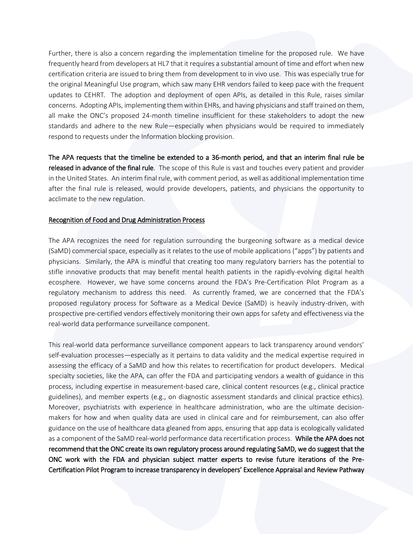Further, there is also a concern regarding the implementation timeline for the proposed rule. We have frequently heard from developers at HL7 that it requires a substantial amount of time and effort when new certification criteria are issued to bring them from development to in vivo use. This was especially true for the original Meaningful Use program, which saw many EHR vendors failed to keep pace with the frequent updates to CEHRT. The adoption and deployment of open APIs, as detailed in this Rule, raises similar concerns. Adopting APIs, implementing them within EHRs, and having physicians and staff trained on them, all make the ONC's proposed 24-month timeline insufficient for these stakeholders to adopt the new standards and adhere to the new Rule—especially when physicians would be required to immediately respond to requests under the Information blocking provision.

The APA requests that the timeline be extended to a 36-month period, and that an interim final rule be released in advance of the final rule. The scope of this Rule is vast and touches every patient and provider in the United States. An interim final rule, with comment period, as well as additional implementation time after the final rule is released, would provide developers, patients, and physicians the opportunity to acclimate to the new regulation.

#### Recognition of Food and Drug Administration Process

The APA recognizes the need for regulation surrounding the burgeoning software as a medical device (SaMD) commercial space, especially as it relates to the use of mobile applications ("apps") by patients and physicians. Similarly, the APA is mindful that creating too many regulatory barriers has the potential to stifle innovative products that may benefit mental health patients in the rapidly-evolving digital health ecosphere. However, we have some concerns around the FDA's Pre-Certification Pilot Program as a regulatory mechanism to address this need. As currently framed, we are concerned that the FDA's proposed regulatory process for Software as a Medical Device (SaMD) is heavily industry-driven, with prospective pre-certified vendors effectively monitoring their own apps for safety and effectiveness via the real-world data performance surveillance component.

This real-world data performance surveillance component appears to lack transparency around vendors' self-evaluation processes—especially as it pertains to data validity and the medical expertise required in assessing the efficacy of a SaMD and how this relates to recertification for product developers. Medical specialty societies, like the APA, can offer the FDA and participating vendors a wealth of guidance in this process, including expertise in measurement-based care, clinical content resources (e.g., clinical practice guidelines), and member experts (e.g., on diagnostic assessment standards and clinical practice ethics). Moreover, psychiatrists with experience in healthcare administration, who are the ultimate decisionmakers for how and when quality data are used in clinical care and for reimbursement, can also offer guidance on the use of healthcare data gleaned from apps, ensuring that app data is ecologically validated as a component of the SaMD real-world performance data recertification process. While the APA does not recommend that the ONC create its own regulatory process around regulating SaMD, we do suggest that the ONC work with the FDA and physician subject matter experts to revise future iterations of the Pre-Certification Pilot Program to increase transparency in developers' Excellence Appraisal and Review Pathway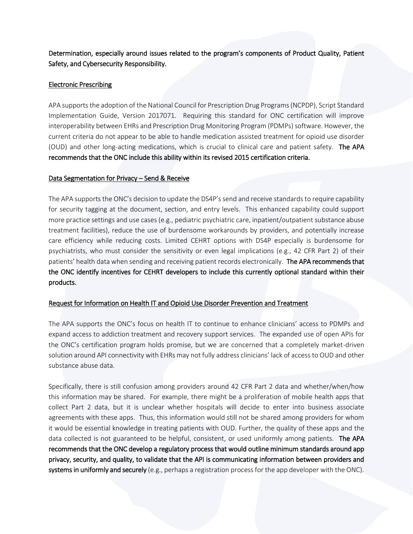Determination, especially around issues related to the program's components of Product Quality, Patient Safety, and Cybersecurity Responsibility.

### Electronic Prescribing

APA supports the adoption of the National Council for Prescription Drug Programs (NCPDP), Script Standard Implementation Guide, Version 2017071. Requiring this standard for ONC certification will improve interoperability between EHRs and Prescription Drug Monitoring Program (PDMPs) software. However, the current criteria do not appear to be able to handle medication assisted treatment for opioid use disorder (OUD) and other long-acting medications, which is crucial to clinical care and patient safety. The APA recommends that the ONC include this ability within its revised 2015 certification criteria.

### Data Segmentation for Privacy – Send & Receive

The APA supports the ONC's decision to update the DS4P's send and receive standards to require capability for security tagging at the document, section, and entry levels. This enhanced capability could support more practice settings and use cases (e.g., pediatric psychiatric care, inpatient/outpatient substance abuse treatment facilities), reduce the use of burdensome workarounds by providers, and potentially increase care efficiency while reducing costs. Limited CEHRT options with DS4P especially is burdensome for psychiatrists, who must consider the sensitivity or even legal implications (e.g., 42 CFR Part 2) of their patients' health data when sending and receiving patient records electronically. The APA recommends that the ONC identify incentives for CEHRT developers to include this currently optional standard within their products.

# Request for Information on Health IT and Opioid Use Disorder Prevention and Treatment

The APA supports the ONC's focus on health IT to continue to enhance clinicians' access to PDMPs and expand access to addiction treatment and recovery support services. The expanded use of open APIs for the ONC's certification program holds promise, but we are concerned that a completely market-driven solution around API connectivity with EHRs may not fully address clinicians' lack of access to OUD and other substance abuse data.

Specifically, there is still confusion among providers around 42 CFR Part 2 data and whether/when/how this information may be shared. For example, there might be a proliferation of mobile health apps that collect Part 2 data, but it is unclear whether hospitals will decide to enter into business associate agreements with these apps. Thus, this information would still not be shared among providers for whom it would be essential knowledge in treating patients with OUD. Further, the quality of these apps and the data collected is not guaranteed to be helpful, consistent, or used uniformly among patients. The APA recommends that the ONC develop a regulatory process that would outline minimum standards around app privacy, security, and quality, to validate that the API is communicating information between providers and systems in uniformly and securely (e.g., perhaps a registration process for the app developer with the ONC).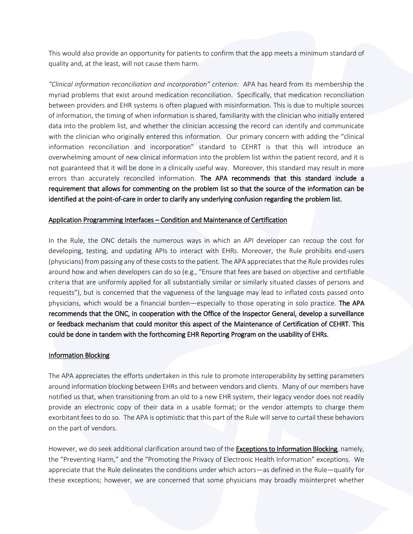This would also provide an opportunity for patients to confirm that the app meets a minimum standard of quality and, at the least, will not cause them harm.

*"Clinical information reconciliation and incorporation" criterion:* APA has heard from its membership the myriad problems that exist around medication reconciliation. Specifically, that medication reconciliation between providers and EHR systems is often plagued with misinformation. This is due to multiple sources of information, the timing of when information is shared, familiarity with the clinician who initially entered data into the problem list, and whether the clinician accessing the record can identify and communicate with the clinician who originally entered this information. Our primary concern with adding the "clinical information reconciliation and incorporation" standard to CEHRT is that this will introduce an overwhelming amount of new clinical information into the problem list within the patient record, and it is not guaranteed that it will be done in a clinically useful way. Moreover, this standard may result in more errors than accurately reconciled information. The APA recommends that this standard include a requirement that allows for commenting on the problem list so that the source of the information can be identified at the point-of-care in order to clarify any underlying confusion regarding the problem list.

#### Application Programming Interfaces – Condition and Maintenance of Certification

In the Rule, the ONC details the numerous ways in which an API developer can recoup the cost for developing, testing, and updating APIs to interact with EHRs. Moreover, the Rule prohibits end-users (physicians) from passing any of these costs to the patient. The APA appreciates that the Rule provides rules around how and when developers can do so (e.g., "Ensure that fees are based on objective and certifiable criteria that are uniformly applied for all substantially similar or similarly situated classes of persons and requests"), but is concerned that the vagueness of the language may lead to inflated costs passed onto physicians, which would be a financial burden—especially to those operating in solo practice. The APA recommends that the ONC, in cooperation with the Office of the Inspector General, develop a surveillance or feedback mechanism that could monitor this aspect of the Maintenance of Certification of CEHRT. This could be done in tandem with the forthcoming EHR Reporting Program on the usability of EHRs.

#### Information Blocking

The APA appreciates the efforts undertaken in this rule to promote interoperability by setting parameters around information blocking between EHRs and between vendors and clients. Many of our members have notified us that, when transitioning from an old to a new EHR system, their legacy vendor does not readily provide an electronic copy of their data in a usable format; or the vendor attempts to charge them exorbitant fees to do so. The APA is optimistic that this part of the Rule will serve to curtail these behaviors on the part of vendors.

However, we do seek additional clarification around two of the Exceptions to Information Blocking, namely, the "Preventing Harm," and the "Promoting the Privacy of Electronic Health Information" exceptions. We appreciate that the Rule delineates the conditions under which actors—as defined in the Rule—qualify for these exceptions; however, we are concerned that some physicians may broadly misinterpret whether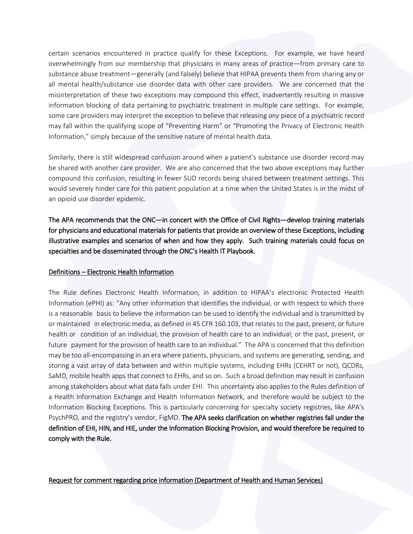certain scenarios encountered in practice qualify for these Exceptions. For example, we have heard overwhelmingly from our membership that physicians in many areas of practice—from primary care to substance abuse treatment—generally (and falsely) believe that HIPAA prevents them from sharing any or all mental health/substance use disorder data with other care providers. We are concerned that the misinterpretation of these two exceptions may compound this effect, inadvertently resulting in massive information blocking of data pertaining to psychiatric treatment in multiple care settings. For example, some care providers may interpret the exception to believe that releasing *any* piece of a psychiatric record may fall within the qualifying scope of "Preventing Harm" or "Promoting the Privacy of Electronic Health Information," simply because of the sensitive nature of mental health data.

Similarly, there is still widespread confusion around when a patient's substance use disorder record may be shared with another care provider. We are also concerned that the two above exceptions may further compound this confusion, resulting in fewer SUD records being shared between treatment settings. This would severely hinder care for this patient population at a time when the United States is in the midst of an opioid use disorder epidemic.

The APA recommends that the ONC—in concert with the Office of Civil Rights—develop training materials for physicians and educational materials for patients that provide an overview of these Exceptions, including illustrative examples and scenarios of when and how they apply. Such training materials could focus on specialties and be disseminated through the ONC's Health IT Playbook.

# Definitions – Electronic Health Information

The Rule defines Electronic Health Information, in addition to HIPAA's electronic Protected Health Information (ePHI) as: "Any other information that identifies the individual, or with respect to which there is a reasonable basis to believe the information can be used to identify the individual and is transmitted by or maintained in electronic media, as defined in 45 CFR 160.103, that relates to the past, present, or future health or condition of an individual; the provision of health care to an individual; or the past, present, or future payment for the provision of health care to an individual." The APA is concerned that this definition may be too all-encompassing in an era where patients, physicians, and systems are generating, sending, and storing a vast array of data between and within multiple systems, including EHRs (CEHRT or not), QCDRs, SaMD, mobile health apps that connect to EHRs, and so on. Such a broad definition may result in confusion among stakeholders about what data falls under EHI. This uncertainty also applies to the Rules definition of a Health Information Exchange and Health Information Network, and therefore would be subject to the Information Blocking Exceptions. This is particularly concerning for specialty society registries, like APA's PsychPRO, and the registry's vendor, FigMD. The APA seeks clarification on whether registries fall under the definition of EHI, HIN, and HIE, under the Information Blocking Provision, and would therefore be required to comply with the Rule.

Request for comment regarding price information (Department of Health and Human Services)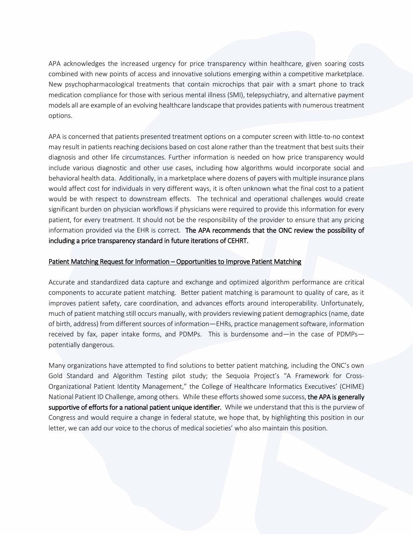APA acknowledges the increased urgency for price transparency within healthcare, given soaring costs combined with new points of access and innovative solutions emerging within a competitive marketplace. New psychopharmacological treatments that contain microchips that pair with a smart phone to track medication compliance for those with serious mental illness (SMI), telepsychiatry, and alternative payment models all are example of an evolving healthcare landscape that provides patients with numerous treatment options.

APA is concerned that patients presented treatment options on a computer screen with little-to-no context may result in patients reaching decisions based on cost alone rather than the treatment that best suits their diagnosis and other life circumstances. Further information is needed on how price transparency would include various diagnostic and other use cases, including how algorithms would incorporate social and behavioral health data. Additionally, in a marketplace where dozens of payers with multiple insurance plans would affect cost for individuals in very different ways, it is often unknown what the final cost to a patient would be with respect to downstream effects. The technical and operational challenges would create significant burden on physician workflows if physicians were required to provide this information for every patient, for every treatment. It should not be the responsibility of the provider to ensure that any pricing information provided via the EHR is correct. The APA recommends that the ONC review the possibility of including a price transparency standard in future iterations of CEHRT.

#### Patient Matching Request for Information – Opportunities to Improve Patient Matching

Accurate and standardized data capture and exchange and optimized algorithm performance are critical components to accurate patient matching. Better patient matching is paramount to quality of care, as it improves patient safety, care coordination, and advances efforts around interoperability. Unfortunately, much of patient matching still occurs manually, with providers reviewing patient demographics (name, date of birth, address) from different sources of information—EHRs, practice management software, information received by fax, paper intake forms, and PDMPs. This is burdensome and—in the case of PDMPs potentially dangerous.

Many organizations have attempted to find solutions to better patient matching, including the ONC's own Gold Standard and Algorithm Testing pilot study; the Sequoia Project's "A Framework for Cross-Organizational Patient Identity Management," the College of Healthcare Informatics Executives' (CHIME) National Patient ID Challenge, among others. While these efforts showed some success, the APA is generally supportive of efforts for a national patient unique identifier. While we understand that this is the purview of Congress and would require a change in federal statute, we hope that, by highlighting this position in our letter, we can add our voice to the chorus of medical societies' who also maintain this position.